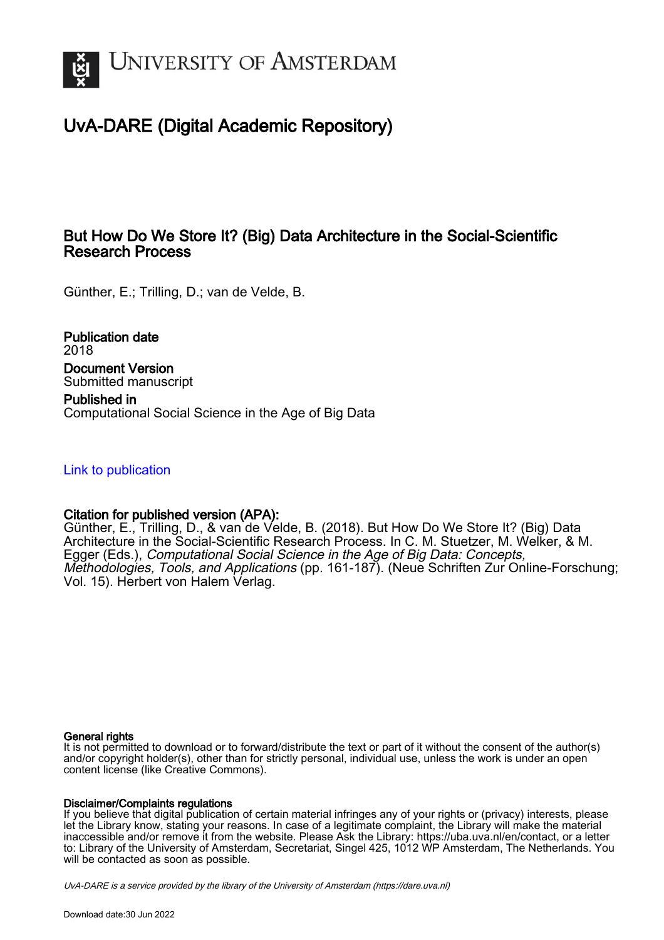

# UvA-DARE (Digital Academic Repository)

## But How Do We Store It? (Big) Data Architecture in the Social-Scientific Research Process

Günther, E.; Trilling, D.; van de Velde, B.

Publication date 2018 Document Version Submitted manuscript Published in

Computational Social Science in the Age of Big Data

### [Link to publication](https://dare.uva.nl/personal/pure/en/publications/but-how-do-we-store-it-big-data-architecture-in-the-socialscientific-research-process(17295046-a3e6-4d3c-8ccc-667fe97b43b0).html)

### Citation for published version (APA):

Günther, E., Trilling, D., & van de Velde, B. (2018). But How Do We Store It? (Big) Data Architecture in the Social-Scientific Research Process. In C. M. Stuetzer, M. Welker, & M. Egger (Eds.), Computational Social Science in the Age of Big Data: Concepts, Methodologies, Tools, and Applications (pp. 161-187). (Neue Schriften Zur Online-Forschung; Vol. 15). Herbert von Halem Verlag.

#### General rights

It is not permitted to download or to forward/distribute the text or part of it without the consent of the author(s) and/or copyright holder(s), other than for strictly personal, individual use, unless the work is under an open content license (like Creative Commons).

#### Disclaimer/Complaints regulations

If you believe that digital publication of certain material infringes any of your rights or (privacy) interests, please let the Library know, stating your reasons. In case of a legitimate complaint, the Library will make the material inaccessible and/or remove it from the website. Please Ask the Library: https://uba.uva.nl/en/contact, or a letter to: Library of the University of Amsterdam, Secretariat, Singel 425, 1012 WP Amsterdam, The Netherlands. You will be contacted as soon as possible.

UvA-DARE is a service provided by the library of the University of Amsterdam (http*s*://dare.uva.nl)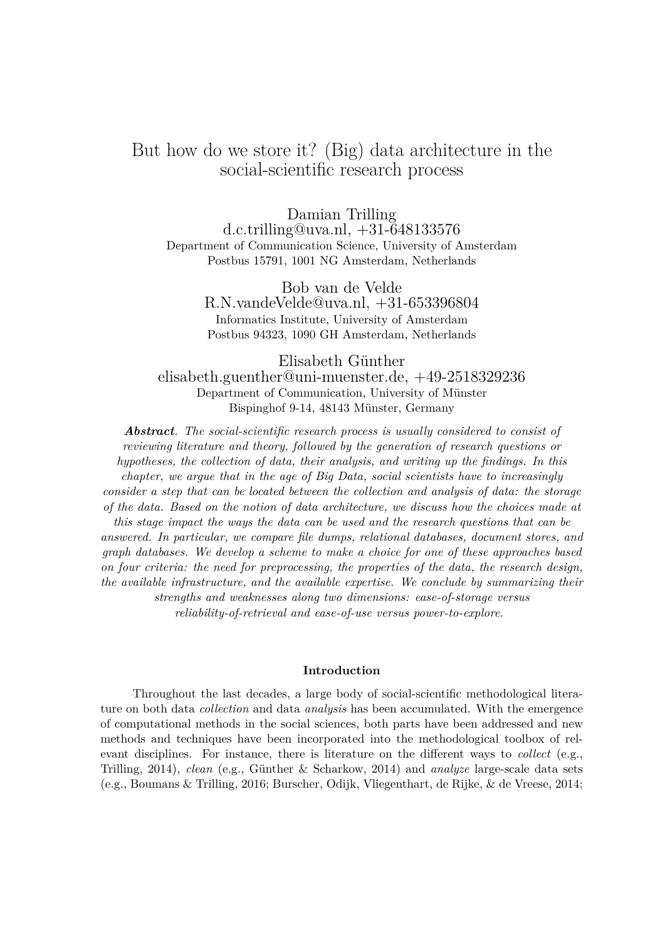# But how do we store it? (Big) data architecture in the social-scientific research process

Damian Trilling d.c.trilling@uva.nl, +31-648133576 Department of Communication Science, University of Amsterdam Postbus 15791, 1001 NG Amsterdam, Netherlands

> Bob van de Velde R.N.vandeVelde@uva.nl, +31-653396804 Informatics Institute, University of Amsterdam Postbus 94323, 1090 GH Amsterdam, Netherlands

Elisabeth Günther elisabeth.guenther@uni-muenster.de, +49-2518329236 Department of Communication, University of Münster Bispinghof 9-14, 48143 Münster, Germany

*Abstract. The social-scientific research process is usually considered to consist of reviewing literature and theory, followed by the generation of research questions or hypotheses, the collection of data, their analysis, and writing up the findings. In this chapter, we argue that in the age of Big Data, social scientists have to increasingly consider a step that can be located between the collection and analysis of data: the storage of the data. Based on the notion of data architecture, we discuss how the choices made at this stage impact the ways the data can be used and the research questions that can be answered. In particular, we compare file dumps, relational databases, document stores, and graph databases. We develop a scheme to make a choice for one of these approaches based on four criteria: the need for preprocessing, the properties of the data, the research design, the available infrastructure, and the available expertise. We conclude by summarizing their strengths and weaknesses along two dimensions: ease-of-storage versus reliability-of-retrieval and ease-of-use versus power-to-explore.*

#### **Introduction**

Throughout the last decades, a large body of social-scientific methodological literature on both data *collection* and data *analysis* has been accumulated. With the emergence of computational methods in the social sciences, both parts have been addressed and new methods and techniques have been incorporated into the methodological toolbox of relevant disciplines. For instance, there is literature on the different ways to *collect* (e.g., Trilling, 2014), *clean* (e.g., Günther & Scharkow, 2014) and *analyze* large-scale data sets (e.g., Boumans & Trilling, 2016; Burscher, Odijk, Vliegenthart, de Rijke, & de Vreese, 2014;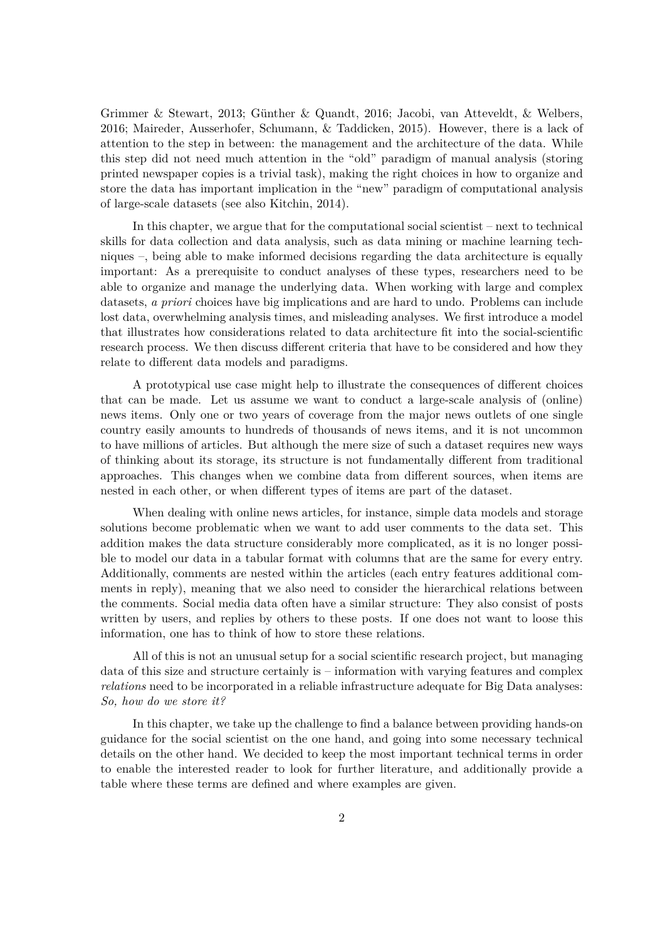Grimmer & Stewart, 2013; Günther & Quandt, 2016; Jacobi, van Atteveldt, & Welbers, 2016; Maireder, Ausserhofer, Schumann, & Taddicken, 2015). However, there is a lack of attention to the step in between: the management and the architecture of the data. While this step did not need much attention in the "old" paradigm of manual analysis (storing printed newspaper copies is a trivial task), making the right choices in how to organize and store the data has important implication in the "new" paradigm of computational analysis of large-scale datasets (see also Kitchin, 2014).

In this chapter, we argue that for the computational social scientist – next to technical skills for data collection and data analysis, such as data mining or machine learning techniques –, being able to make informed decisions regarding the data architecture is equally important: As a prerequisite to conduct analyses of these types, researchers need to be able to organize and manage the underlying data. When working with large and complex datasets, *a priori* choices have big implications and are hard to undo. Problems can include lost data, overwhelming analysis times, and misleading analyses. We first introduce a model that illustrates how considerations related to data architecture fit into the social-scientific research process. We then discuss different criteria that have to be considered and how they relate to different data models and paradigms.

A prototypical use case might help to illustrate the consequences of different choices that can be made. Let us assume we want to conduct a large-scale analysis of (online) news items. Only one or two years of coverage from the major news outlets of one single country easily amounts to hundreds of thousands of news items, and it is not uncommon to have millions of articles. But although the mere size of such a dataset requires new ways of thinking about its storage, its structure is not fundamentally different from traditional approaches. This changes when we combine data from different sources, when items are nested in each other, or when different types of items are part of the dataset.

When dealing with online news articles, for instance, simple data models and storage solutions become problematic when we want to add user comments to the data set. This addition makes the data structure considerably more complicated, as it is no longer possible to model our data in a tabular format with columns that are the same for every entry. Additionally, comments are nested within the articles (each entry features additional comments in reply), meaning that we also need to consider the hierarchical relations between the comments. Social media data often have a similar structure: They also consist of posts written by users, and replies by others to these posts. If one does not want to loose this information, one has to think of how to store these relations.

All of this is not an unusual setup for a social scientific research project, but managing data of this size and structure certainly is – information with varying features and complex *relations* need to be incorporated in a reliable infrastructure adequate for Big Data analyses: *So, how do we store it?*

In this chapter, we take up the challenge to find a balance between providing hands-on guidance for the social scientist on the one hand, and going into some necessary technical details on the other hand. We decided to keep the most important technical terms in order to enable the interested reader to look for further literature, and additionally provide a table where these terms are defined and where examples are given.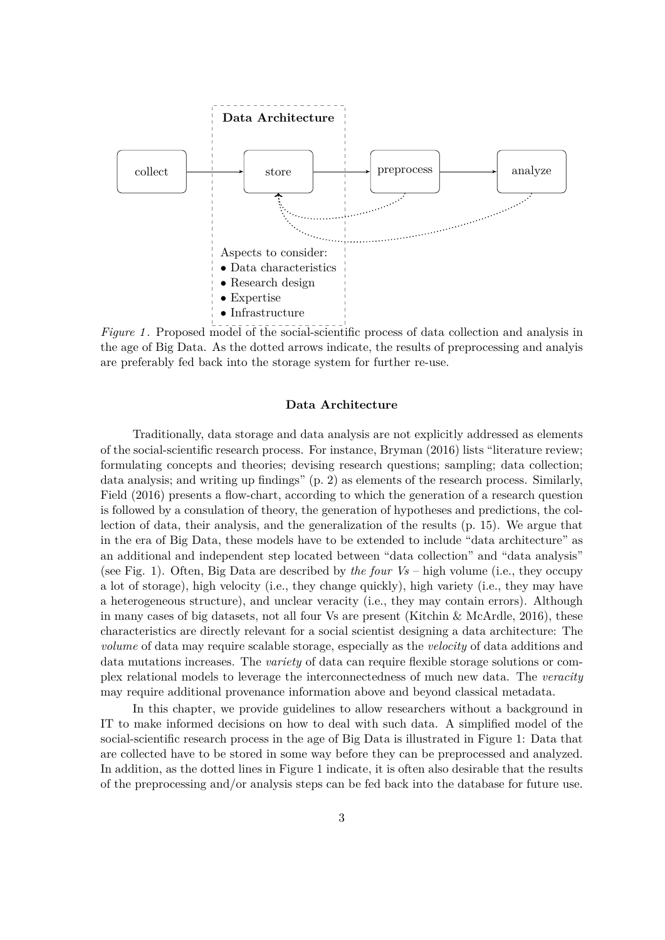

*Figure 1*. Proposed model of the social-scientific process of data collection and analysis in the age of Big Data. As the dotted arrows indicate, the results of preprocessing and analyis are preferably fed back into the storage system for further re-use.

#### **Data Architecture**

Traditionally, data storage and data analysis are not explicitly addressed as elements of the social-scientific research process. For instance, Bryman (2016) lists "literature review; formulating concepts and theories; devising research questions; sampling; data collection; data analysis; and writing up findings" (p. 2) as elements of the research process. Similarly, Field (2016) presents a flow-chart, according to which the generation of a research question is followed by a consulation of theory, the generation of hypotheses and predictions, the collection of data, their analysis, and the generalization of the results (p. 15). We argue that in the era of Big Data, these models have to be extended to include "data architecture" as an additional and independent step located between "data collection" and "data analysis" (see Fig. 1). Often, Big Data are described by *the four Vs* – high volume (i.e., they occupy a lot of storage), high velocity (i.e., they change quickly), high variety (i.e., they may have a heterogeneous structure), and unclear veracity (i.e., they may contain errors). Although in many cases of big datasets, not all four Vs are present (Kitchin & McArdle, 2016), these characteristics are directly relevant for a social scientist designing a data architecture: The *volume* of data may require scalable storage, especially as the *velocity* of data additions and data mutations increases. The *variety* of data can require flexible storage solutions or complex relational models to leverage the interconnectedness of much new data. The *veracity* may require additional provenance information above and beyond classical metadata.

In this chapter, we provide guidelines to allow researchers without a background in IT to make informed decisions on how to deal with such data. A simplified model of the social-scientific research process in the age of Big Data is illustrated in Figure 1: Data that are collected have to be stored in some way before they can be preprocessed and analyzed. In addition, as the dotted lines in Figure 1 indicate, it is often also desirable that the results of the preprocessing and/or analysis steps can be fed back into the database for future use.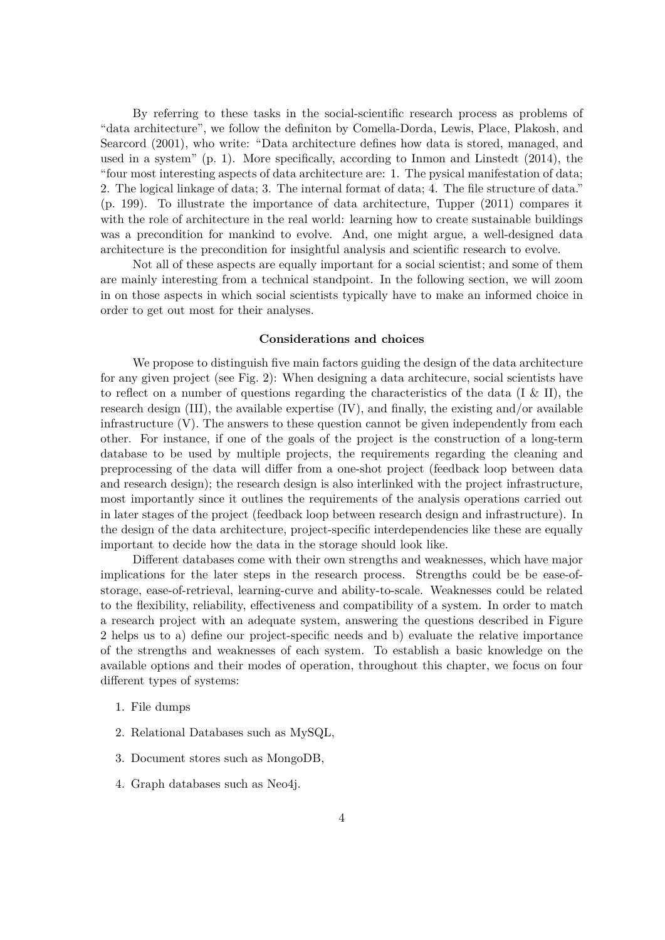By referring to these tasks in the social-scientific research process as problems of "data architecture", we follow the definiton by Comella-Dorda, Lewis, Place, Plakosh, and Searcord (2001), who write: "Data architecture defines how data is stored, managed, and used in a system" (p. 1). More specifically, according to Inmon and Linstedt (2014), the "four most interesting aspects of data architecture are: 1. The pysical manifestation of data; 2. The logical linkage of data; 3. The internal format of data; 4. The file structure of data." (p. 199). To illustrate the importance of data architecture, Tupper (2011) compares it with the role of architecture in the real world: learning how to create sustainable buildings was a precondition for mankind to evolve. And, one might argue, a well-designed data architecture is the precondition for insightful analysis and scientific research to evolve.

Not all of these aspects are equally important for a social scientist; and some of them are mainly interesting from a technical standpoint. In the following section, we will zoom in on those aspects in which social scientists typically have to make an informed choice in order to get out most for their analyses.

#### **Considerations and choices**

We propose to distinguish five main factors guiding the design of the data architecture for any given project (see Fig. 2): When designing a data architecure, social scientists have to reflect on a number of questions regarding the characteristics of the data (I & II), the research design (III), the available expertise (IV), and finally, the existing and/or available infrastructure  $(V)$ . The answers to these question cannot be given independently from each other. For instance, if one of the goals of the project is the construction of a long-term database to be used by multiple projects, the requirements regarding the cleaning and preprocessing of the data will differ from a one-shot project (feedback loop between data and research design); the research design is also interlinked with the project infrastructure, most importantly since it outlines the requirements of the analysis operations carried out in later stages of the project (feedback loop between research design and infrastructure). In the design of the data architecture, project-specific interdependencies like these are equally important to decide how the data in the storage should look like.

Different databases come with their own strengths and weaknesses, which have major implications for the later steps in the research process. Strengths could be be ease-ofstorage, ease-of-retrieval, learning-curve and ability-to-scale. Weaknesses could be related to the flexibility, reliability, effectiveness and compatibility of a system. In order to match a research project with an adequate system, answering the questions described in Figure 2 helps us to a) define our project-specific needs and b) evaluate the relative importance of the strengths and weaknesses of each system. To establish a basic knowledge on the available options and their modes of operation, throughout this chapter, we focus on four different types of systems:

- 1. File dumps
- 2. Relational Databases such as MySQL,
- 3. Document stores such as MongoDB,
- 4. Graph databases such as Neo4j.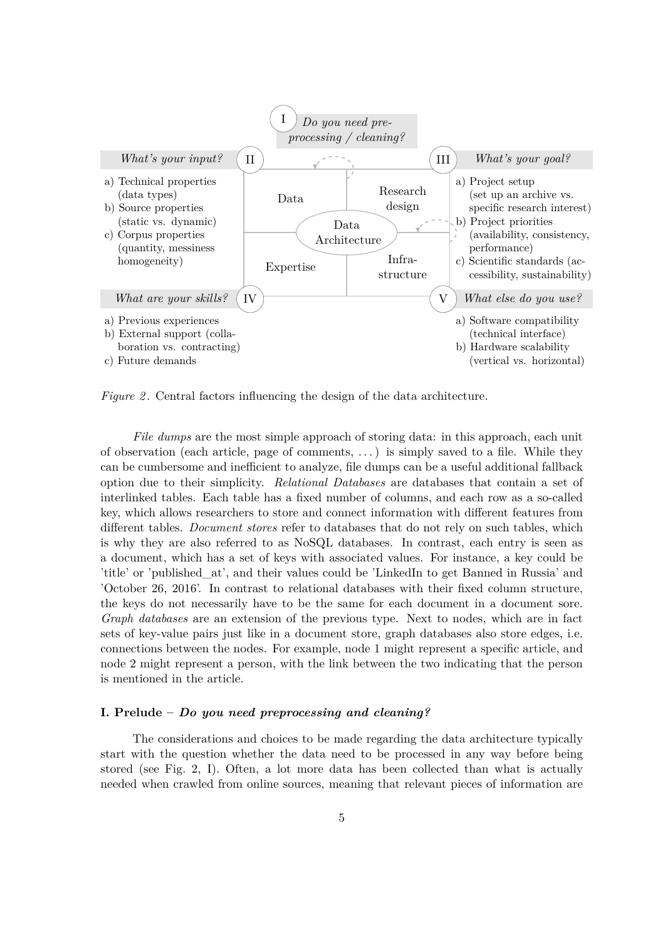

*Figure 2.* Central factors influencing the design of the data architecture.

*File dumps* are the most simple approach of storing data: in this approach, each unit of observation (each article, page of comments, . . . ) is simply saved to a file. While they can be cumbersome and inefficient to analyze, file dumps can be a useful additional fallback option due to their simplicity. *Relational Databases* are databases that contain a set of interlinked tables. Each table has a fixed number of columns, and each row as a so-called key, which allows researchers to store and connect information with different features from different tables. *Document stores* refer to databases that do not rely on such tables, which is why they are also referred to as NoSQL databases. In contrast, each entry is seen as a document, which has a set of keys with associated values. For instance, a key could be 'title' or 'published\_at', and their values could be 'LinkedIn to get Banned in Russia' and 'October 26, 2016'. In contrast to relational databases with their fixed column structure, the keys do not necessarily have to be the same for each document in a document sore. *Graph databases* are an extension of the previous type. Next to nodes, which are in fact sets of key-value pairs just like in a document store, graph databases also store edges, i.e. connections between the nodes. For example, node 1 might represent a specific article, and node 2 might represent a person, with the link between the two indicating that the person is mentioned in the article.

#### **I. Prelude –** *Do you need preprocessing and cleaning?*

The considerations and choices to be made regarding the data architecture typically start with the question whether the data need to be processed in any way before being stored (see Fig. 2, I). Often, a lot more data has been collected than what is actually needed when crawled from online sources, meaning that relevant pieces of information are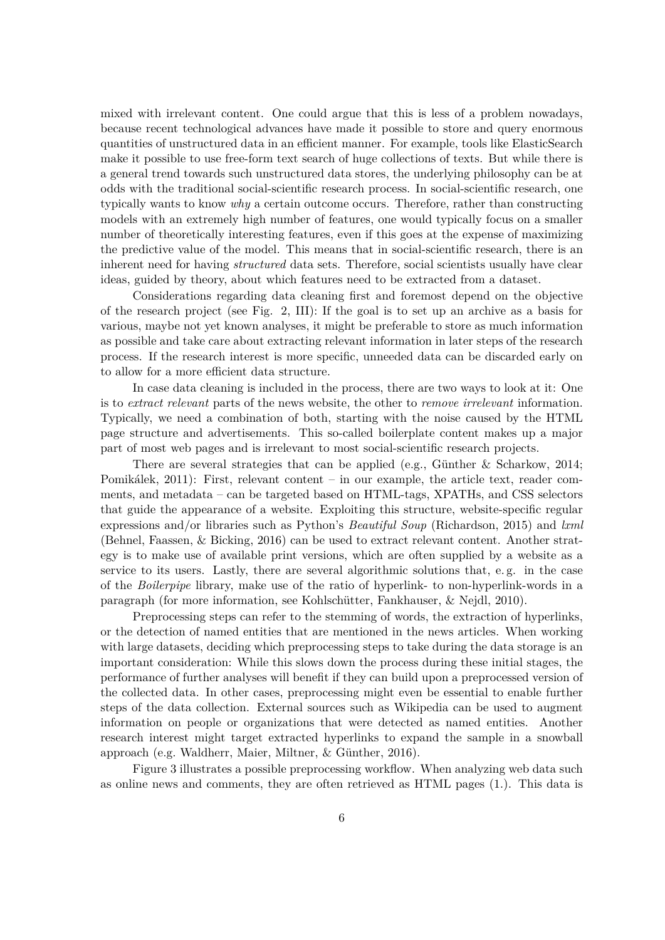mixed with irrelevant content. One could argue that this is less of a problem nowadays, because recent technological advances have made it possible to store and query enormous quantities of unstructured data in an efficient manner. For example, tools like ElasticSearch make it possible to use free-form text search of huge collections of texts. But while there is a general trend towards such unstructured data stores, the underlying philosophy can be at odds with the traditional social-scientific research process. In social-scientific research, one typically wants to know *why* a certain outcome occurs. Therefore, rather than constructing models with an extremely high number of features, one would typically focus on a smaller number of theoretically interesting features, even if this goes at the expense of maximizing the predictive value of the model. This means that in social-scientific research, there is an inherent need for having *structured* data sets. Therefore, social scientists usually have clear ideas, guided by theory, about which features need to be extracted from a dataset.

Considerations regarding data cleaning first and foremost depend on the objective of the research project (see Fig. 2, III): If the goal is to set up an archive as a basis for various, maybe not yet known analyses, it might be preferable to store as much information as possible and take care about extracting relevant information in later steps of the research process. If the research interest is more specific, unneeded data can be discarded early on to allow for a more efficient data structure.

In case data cleaning is included in the process, there are two ways to look at it: One is to *extract relevant* parts of the news website, the other to *remove irrelevant* information. Typically, we need a combination of both, starting with the noise caused by the HTML page structure and advertisements. This so-called boilerplate content makes up a major part of most web pages and is irrelevant to most social-scientific research projects.

There are several strategies that can be applied (e.g., Günther & Scharkow, 2014; Pomikálek, 2011): First, relevant content – in our example, the article text, reader comments, and metadata – can be targeted based on HTML-tags, XPATHs, and CSS selectors that guide the appearance of a website. Exploiting this structure, website-specific regular expressions and/or libraries such as Python's *Beautiful Soup* (Richardson, 2015) and *lxml* (Behnel, Faassen, & Bicking, 2016) can be used to extract relevant content. Another strategy is to make use of available print versions, which are often supplied by a website as a service to its users. Lastly, there are several algorithmic solutions that, e. g. in the case of the *Boilerpipe* library, make use of the ratio of hyperlink- to non-hyperlink-words in a paragraph (for more information, see Kohlschütter, Fankhauser, & Nejdl, 2010).

Preprocessing steps can refer to the stemming of words, the extraction of hyperlinks, or the detection of named entities that are mentioned in the news articles. When working with large datasets, deciding which preprocessing steps to take during the data storage is an important consideration: While this slows down the process during these initial stages, the performance of further analyses will benefit if they can build upon a preprocessed version of the collected data. In other cases, preprocessing might even be essential to enable further steps of the data collection. External sources such as Wikipedia can be used to augment information on people or organizations that were detected as named entities. Another research interest might target extracted hyperlinks to expand the sample in a snowball approach (e.g. Waldherr, Maier, Miltner, & Günther, 2016).

Figure 3 illustrates a possible preprocessing workflow. When analyzing web data such as online news and comments, they are often retrieved as HTML pages (1.). This data is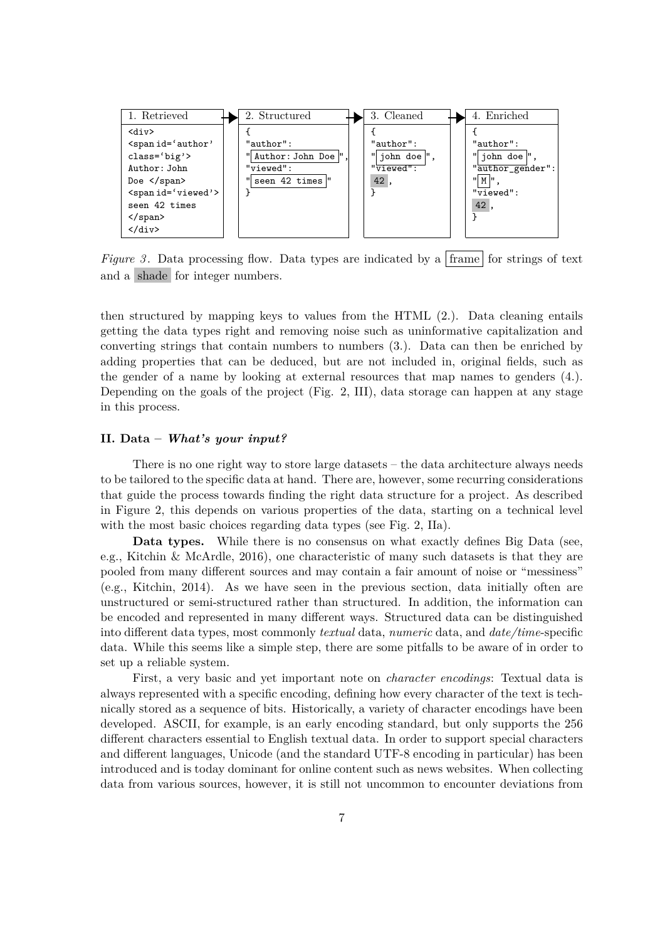

*Figure 3*. Data processing flow. Data types are indicated by a frame for strings of text and a shade for integer numbers.

then structured by mapping keys to values from the HTML (2.). Data cleaning entails getting the data types right and removing noise such as uninformative capitalization and converting strings that contain numbers to numbers (3.). Data can then be enriched by adding properties that can be deduced, but are not included in, original fields, such as the gender of a name by looking at external resources that map names to genders (4.). Depending on the goals of the project (Fig. 2, III), data storage can happen at any stage in this process.

#### **II. Data –** *What's your input?*

There is no one right way to store large datasets – the data architecture always needs to be tailored to the specific data at hand. There are, however, some recurring considerations that guide the process towards finding the right data structure for a project. As described in Figure 2, this depends on various properties of the data, starting on a technical level with the most basic choices regarding data types (see Fig. 2, IIa).

**Data types.** While there is no consensus on what exactly defines Big Data (see, e.g., Kitchin & McArdle, 2016), one characteristic of many such datasets is that they are pooled from many different sources and may contain a fair amount of noise or "messiness" (e.g., Kitchin, 2014). As we have seen in the previous section, data initially often are unstructured or semi-structured rather than structured. In addition, the information can be encoded and represented in many different ways. Structured data can be distinguished into different data types, most commonly *textual* data, *numeric* data, and *date/time*-specific data. While this seems like a simple step, there are some pitfalls to be aware of in order to set up a reliable system.

First, a very basic and yet important note on *character encodings*: Textual data is always represented with a specific encoding, defining how every character of the text is technically stored as a sequence of bits. Historically, a variety of character encodings have been developed. ASCII, for example, is an early encoding standard, but only supports the 256 different characters essential to English textual data. In order to support special characters and different languages, Unicode (and the standard UTF-8 encoding in particular) has been introduced and is today dominant for online content such as news websites. When collecting data from various sources, however, it is still not uncommon to encounter deviations from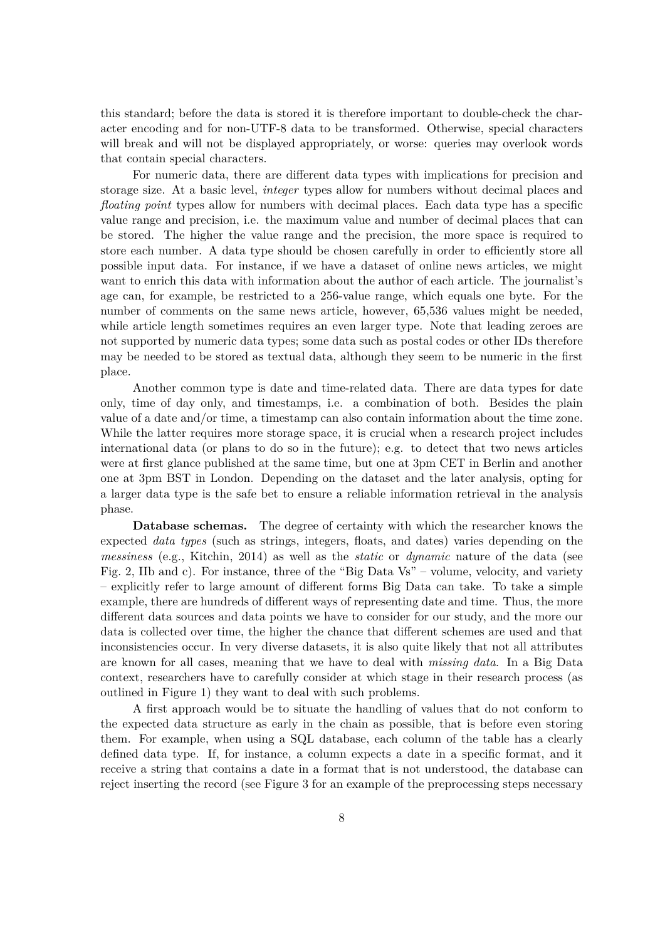this standard; before the data is stored it is therefore important to double-check the character encoding and for non-UTF-8 data to be transformed. Otherwise, special characters will break and will not be displayed appropriately, or worse: queries may overlook words that contain special characters.

For numeric data, there are different data types with implications for precision and storage size. At a basic level, *integer* types allow for numbers without decimal places and *floating point* types allow for numbers with decimal places. Each data type has a specific value range and precision, i.e. the maximum value and number of decimal places that can be stored. The higher the value range and the precision, the more space is required to store each number. A data type should be chosen carefully in order to efficiently store all possible input data. For instance, if we have a dataset of online news articles, we might want to enrich this data with information about the author of each article. The journalist's age can, for example, be restricted to a 256-value range, which equals one byte. For the number of comments on the same news article, however, 65,536 values might be needed, while article length sometimes requires an even larger type. Note that leading zeroes are not supported by numeric data types; some data such as postal codes or other IDs therefore may be needed to be stored as textual data, although they seem to be numeric in the first place.

Another common type is date and time-related data. There are data types for date only, time of day only, and timestamps, i.e. a combination of both. Besides the plain value of a date and/or time, a timestamp can also contain information about the time zone. While the latter requires more storage space, it is crucial when a research project includes international data (or plans to do so in the future); e.g. to detect that two news articles were at first glance published at the same time, but one at 3pm CET in Berlin and another one at 3pm BST in London. Depending on the dataset and the later analysis, opting for a larger data type is the safe bet to ensure a reliable information retrieval in the analysis phase.

**Database schemas.** The degree of certainty with which the researcher knows the expected *data types* (such as strings, integers, floats, and dates) varies depending on the *messiness* (e.g., Kitchin, 2014) as well as the *static* or *dynamic* nature of the data (see Fig. 2, IIb and c). For instance, three of the "Big Data Vs" – volume, velocity, and variety – explicitly refer to large amount of different forms Big Data can take. To take a simple example, there are hundreds of different ways of representing date and time. Thus, the more different data sources and data points we have to consider for our study, and the more our data is collected over time, the higher the chance that different schemes are used and that inconsistencies occur. In very diverse datasets, it is also quite likely that not all attributes are known for all cases, meaning that we have to deal with *missing data*. In a Big Data context, researchers have to carefully consider at which stage in their research process (as outlined in Figure 1) they want to deal with such problems.

A first approach would be to situate the handling of values that do not conform to the expected data structure as early in the chain as possible, that is before even storing them. For example, when using a SQL database, each column of the table has a clearly defined data type. If, for instance, a column expects a date in a specific format, and it receive a string that contains a date in a format that is not understood, the database can reject inserting the record (see Figure 3 for an example of the preprocessing steps necessary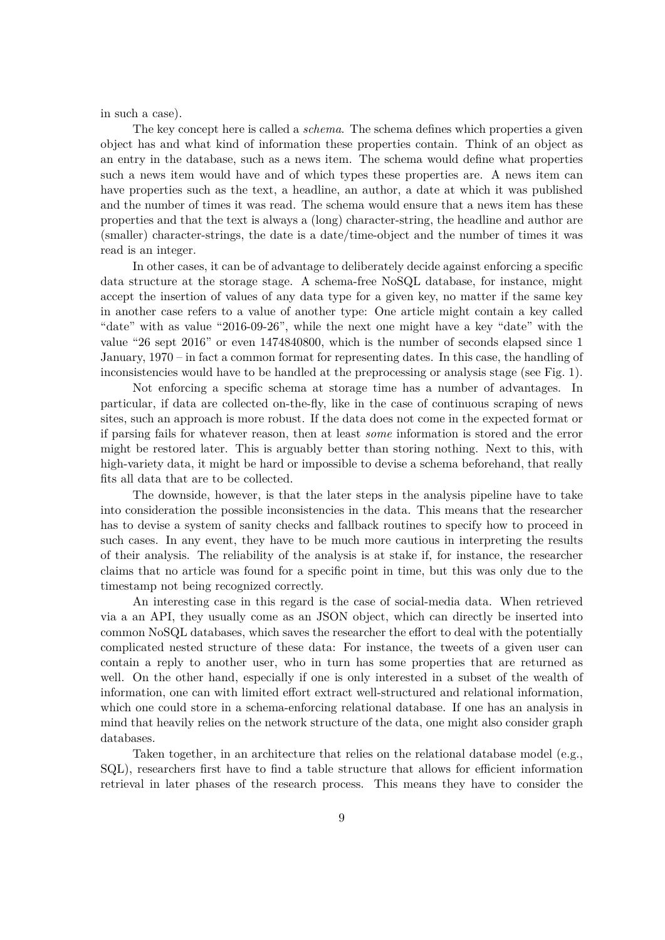in such a case).

The key concept here is called a *schema*. The schema defines which properties a given object has and what kind of information these properties contain. Think of an object as an entry in the database, such as a news item. The schema would define what properties such a news item would have and of which types these properties are. A news item can have properties such as the text, a headline, an author, a date at which it was published and the number of times it was read. The schema would ensure that a news item has these properties and that the text is always a (long) character-string, the headline and author are (smaller) character-strings, the date is a date/time-object and the number of times it was read is an integer.

In other cases, it can be of advantage to deliberately decide against enforcing a specific data structure at the storage stage. A schema-free NoSQL database, for instance, might accept the insertion of values of any data type for a given key, no matter if the same key in another case refers to a value of another type: One article might contain a key called "date" with as value "2016-09-26", while the next one might have a key "date" with the value "26 sept 2016" or even 1474840800, which is the number of seconds elapsed since 1 January, 1970 – in fact a common format for representing dates. In this case, the handling of inconsistencies would have to be handled at the preprocessing or analysis stage (see Fig. 1).

Not enforcing a specific schema at storage time has a number of advantages. In particular, if data are collected on-the-fly, like in the case of continuous scraping of news sites, such an approach is more robust. If the data does not come in the expected format or if parsing fails for whatever reason, then at least *some* information is stored and the error might be restored later. This is arguably better than storing nothing. Next to this, with high-variety data, it might be hard or impossible to devise a schema beforehand, that really fits all data that are to be collected.

The downside, however, is that the later steps in the analysis pipeline have to take into consideration the possible inconsistencies in the data. This means that the researcher has to devise a system of sanity checks and fallback routines to specify how to proceed in such cases. In any event, they have to be much more cautious in interpreting the results of their analysis. The reliability of the analysis is at stake if, for instance, the researcher claims that no article was found for a specific point in time, but this was only due to the timestamp not being recognized correctly.

An interesting case in this regard is the case of social-media data. When retrieved via a an API, they usually come as an JSON object, which can directly be inserted into common NoSQL databases, which saves the researcher the effort to deal with the potentially complicated nested structure of these data: For instance, the tweets of a given user can contain a reply to another user, who in turn has some properties that are returned as well. On the other hand, especially if one is only interested in a subset of the wealth of information, one can with limited effort extract well-structured and relational information, which one could store in a schema-enforcing relational database. If one has an analysis in mind that heavily relies on the network structure of the data, one might also consider graph databases.

Taken together, in an architecture that relies on the relational database model (e.g., SQL), researchers first have to find a table structure that allows for efficient information retrieval in later phases of the research process. This means they have to consider the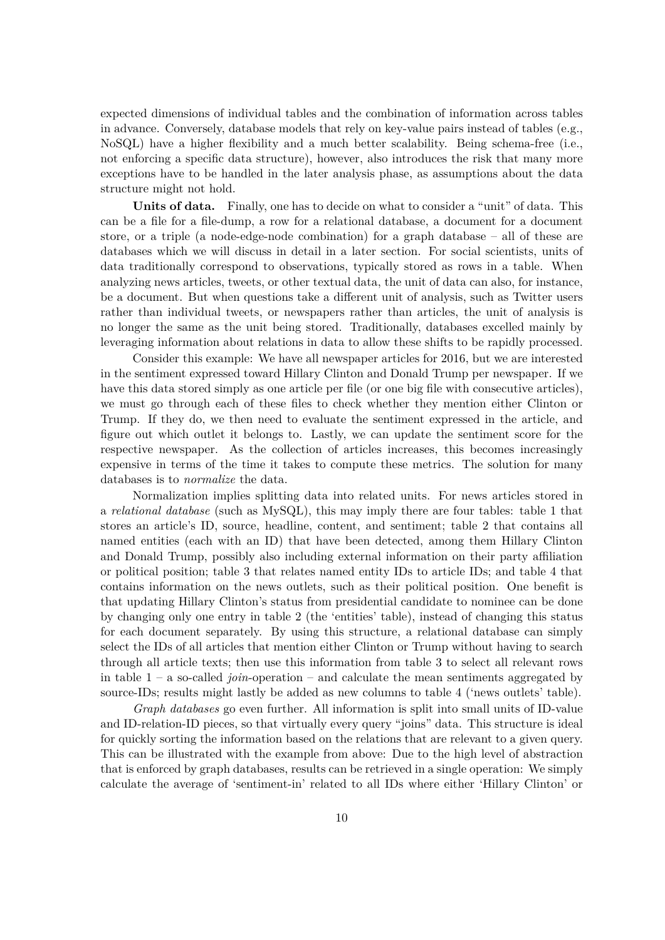expected dimensions of individual tables and the combination of information across tables in advance. Conversely, database models that rely on key-value pairs instead of tables (e.g., NoSQL) have a higher flexibility and a much better scalability. Being schema-free (i.e., not enforcing a specific data structure), however, also introduces the risk that many more exceptions have to be handled in the later analysis phase, as assumptions about the data structure might not hold.

**Units of data.** Finally, one has to decide on what to consider a "unit" of data. This can be a file for a file-dump, a row for a relational database, a document for a document store, or a triple (a node-edge-node combination) for a graph database – all of these are databases which we will discuss in detail in a later section. For social scientists, units of data traditionally correspond to observations, typically stored as rows in a table. When analyzing news articles, tweets, or other textual data, the unit of data can also, for instance, be a document. But when questions take a different unit of analysis, such as Twitter users rather than individual tweets, or newspapers rather than articles, the unit of analysis is no longer the same as the unit being stored. Traditionally, databases excelled mainly by leveraging information about relations in data to allow these shifts to be rapidly processed.

Consider this example: We have all newspaper articles for 2016, but we are interested in the sentiment expressed toward Hillary Clinton and Donald Trump per newspaper. If we have this data stored simply as one article per file (or one big file with consecutive articles), we must go through each of these files to check whether they mention either Clinton or Trump. If they do, we then need to evaluate the sentiment expressed in the article, and figure out which outlet it belongs to. Lastly, we can update the sentiment score for the respective newspaper. As the collection of articles increases, this becomes increasingly expensive in terms of the time it takes to compute these metrics. The solution for many databases is to *normalize* the data.

Normalization implies splitting data into related units. For news articles stored in a *relational database* (such as MySQL), this may imply there are four tables: table 1 that stores an article's ID, source, headline, content, and sentiment; table 2 that contains all named entities (each with an ID) that have been detected, among them Hillary Clinton and Donald Trump, possibly also including external information on their party affiliation or political position; table 3 that relates named entity IDs to article IDs; and table 4 that contains information on the news outlets, such as their political position. One benefit is that updating Hillary Clinton's status from presidential candidate to nominee can be done by changing only one entry in table 2 (the 'entities' table), instead of changing this status for each document separately. By using this structure, a relational database can simply select the IDs of all articles that mention either Clinton or Trump without having to search through all article texts; then use this information from table 3 to select all relevant rows in table  $1 - a$  so-called *join*-operation – and calculate the mean sentiments aggregated by source-IDs; results might lastly be added as new columns to table 4 ('news outlets' table).

*Graph databases* go even further. All information is split into small units of ID-value and ID-relation-ID pieces, so that virtually every query "joins" data. This structure is ideal for quickly sorting the information based on the relations that are relevant to a given query. This can be illustrated with the example from above: Due to the high level of abstraction that is enforced by graph databases, results can be retrieved in a single operation: We simply calculate the average of 'sentiment-in' related to all IDs where either 'Hillary Clinton' or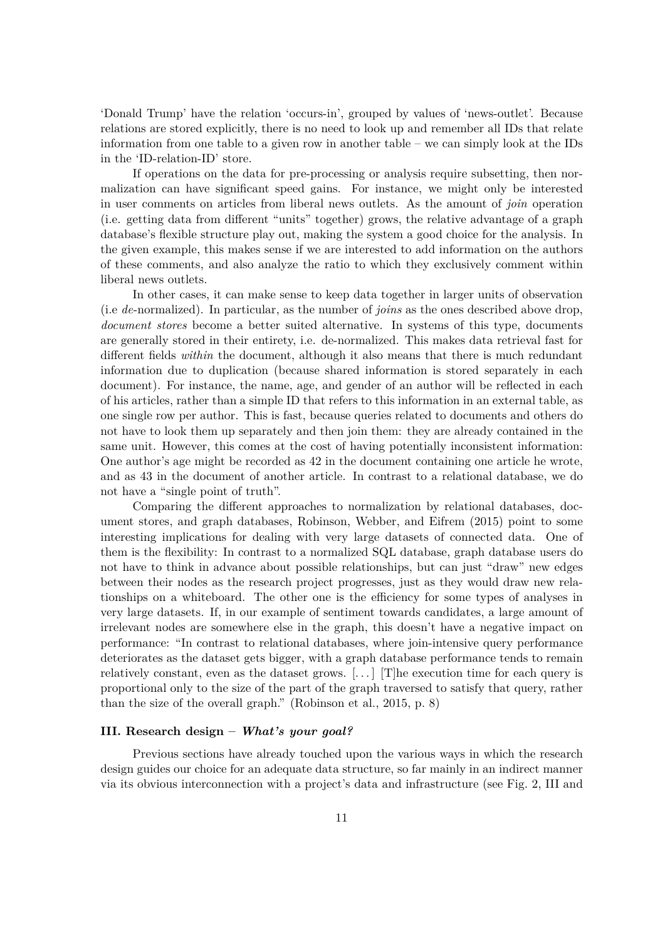'Donald Trump' have the relation 'occurs-in', grouped by values of 'news-outlet'. Because relations are stored explicitly, there is no need to look up and remember all IDs that relate information from one table to a given row in another table – we can simply look at the IDs in the 'ID-relation-ID' store.

If operations on the data for pre-processing or analysis require subsetting, then normalization can have significant speed gains. For instance, we might only be interested in user comments on articles from liberal news outlets. As the amount of *join* operation (i.e. getting data from different "units" together) grows, the relative advantage of a graph database's flexible structure play out, making the system a good choice for the analysis. In the given example, this makes sense if we are interested to add information on the authors of these comments, and also analyze the ratio to which they exclusively comment within liberal news outlets.

In other cases, it can make sense to keep data together in larger units of observation (i.e *de*-normalized). In particular, as the number of *joins* as the ones described above drop, *document stores* become a better suited alternative. In systems of this type, documents are generally stored in their entirety, i.e. de-normalized. This makes data retrieval fast for different fields *within* the document, although it also means that there is much redundant information due to duplication (because shared information is stored separately in each document). For instance, the name, age, and gender of an author will be reflected in each of his articles, rather than a simple ID that refers to this information in an external table, as one single row per author. This is fast, because queries related to documents and others do not have to look them up separately and then join them: they are already contained in the same unit. However, this comes at the cost of having potentially inconsistent information: One author's age might be recorded as 42 in the document containing one article he wrote, and as 43 in the document of another article. In contrast to a relational database, we do not have a "single point of truth".

Comparing the different approaches to normalization by relational databases, document stores, and graph databases, Robinson, Webber, and Eifrem (2015) point to some interesting implications for dealing with very large datasets of connected data. One of them is the flexibility: In contrast to a normalized SQL database, graph database users do not have to think in advance about possible relationships, but can just "draw" new edges between their nodes as the research project progresses, just as they would draw new relationships on a whiteboard. The other one is the efficiency for some types of analyses in very large datasets. If, in our example of sentiment towards candidates, a large amount of irrelevant nodes are somewhere else in the graph, this doesn't have a negative impact on performance: "In contrast to relational databases, where join-intensive query performance deteriorates as the dataset gets bigger, with a graph database performance tends to remain relatively constant, even as the dataset grows.  $[\ldots]$  [T]he execution time for each query is proportional only to the size of the part of the graph traversed to satisfy that query, rather than the size of the overall graph." (Robinson et al., 2015, p. 8)

#### **III. Research design –** *What's your goal?*

Previous sections have already touched upon the various ways in which the research design guides our choice for an adequate data structure, so far mainly in an indirect manner via its obvious interconnection with a project's data and infrastructure (see Fig. 2, III and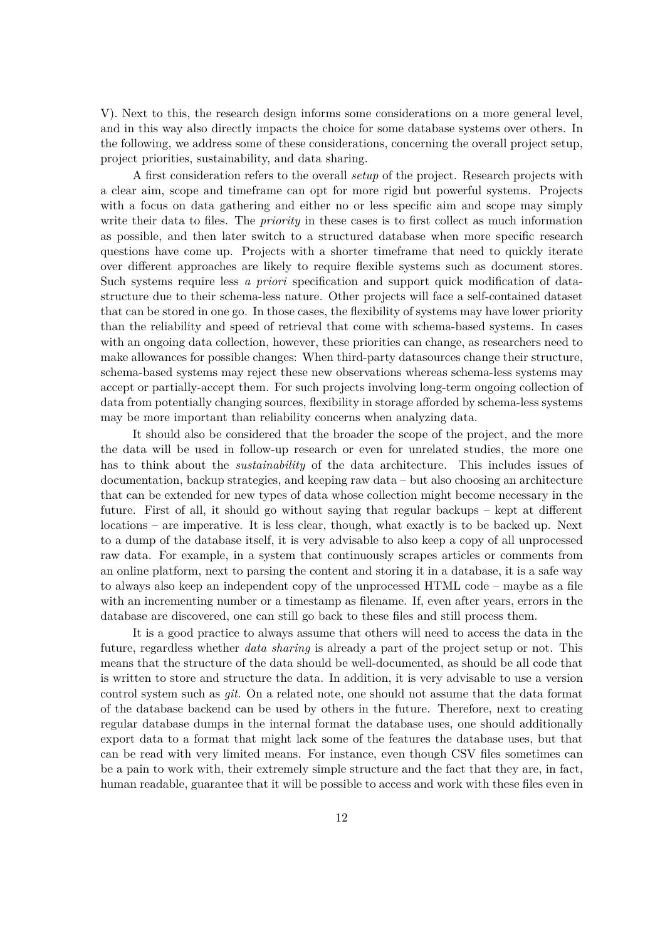V). Next to this, the research design informs some considerations on a more general level, and in this way also directly impacts the choice for some database systems over others. In the following, we address some of these considerations, concerning the overall project setup, project priorities, sustainability, and data sharing.

A first consideration refers to the overall *setup* of the project. Research projects with a clear aim, scope and timeframe can opt for more rigid but powerful systems. Projects with a focus on data gathering and either no or less specific aim and scope may simply write their data to files. The *priority* in these cases is to first collect as much information as possible, and then later switch to a structured database when more specific research questions have come up. Projects with a shorter timeframe that need to quickly iterate over different approaches are likely to require flexible systems such as document stores. Such systems require less *a priori* specification and support quick modification of datastructure due to their schema-less nature. Other projects will face a self-contained dataset that can be stored in one go. In those cases, the flexibility of systems may have lower priority than the reliability and speed of retrieval that come with schema-based systems. In cases with an ongoing data collection, however, these priorities can change, as researchers need to make allowances for possible changes: When third-party datasources change their structure, schema-based systems may reject these new observations whereas schema-less systems may accept or partially-accept them. For such projects involving long-term ongoing collection of data from potentially changing sources, flexibility in storage afforded by schema-less systems may be more important than reliability concerns when analyzing data.

It should also be considered that the broader the scope of the project, and the more the data will be used in follow-up research or even for unrelated studies, the more one has to think about the *sustainability* of the data architecture. This includes issues of documentation, backup strategies, and keeping raw data – but also choosing an architecture that can be extended for new types of data whose collection might become necessary in the future. First of all, it should go without saying that regular backups – kept at different locations – are imperative. It is less clear, though, what exactly is to be backed up. Next to a dump of the database itself, it is very advisable to also keep a copy of all unprocessed raw data. For example, in a system that continuously scrapes articles or comments from an online platform, next to parsing the content and storing it in a database, it is a safe way to always also keep an independent copy of the unprocessed HTML code – maybe as a file with an incrementing number or a timestamp as filename. If, even after years, errors in the database are discovered, one can still go back to these files and still process them.

It is a good practice to always assume that others will need to access the data in the future, regardless whether *data sharing* is already a part of the project setup or not. This means that the structure of the data should be well-documented, as should be all code that is written to store and structure the data. In addition, it is very advisable to use a version control system such as *git*. On a related note, one should not assume that the data format of the database backend can be used by others in the future. Therefore, next to creating regular database dumps in the internal format the database uses, one should additionally export data to a format that might lack some of the features the database uses, but that can be read with very limited means. For instance, even though CSV files sometimes can be a pain to work with, their extremely simple structure and the fact that they are, in fact, human readable, guarantee that it will be possible to access and work with these files even in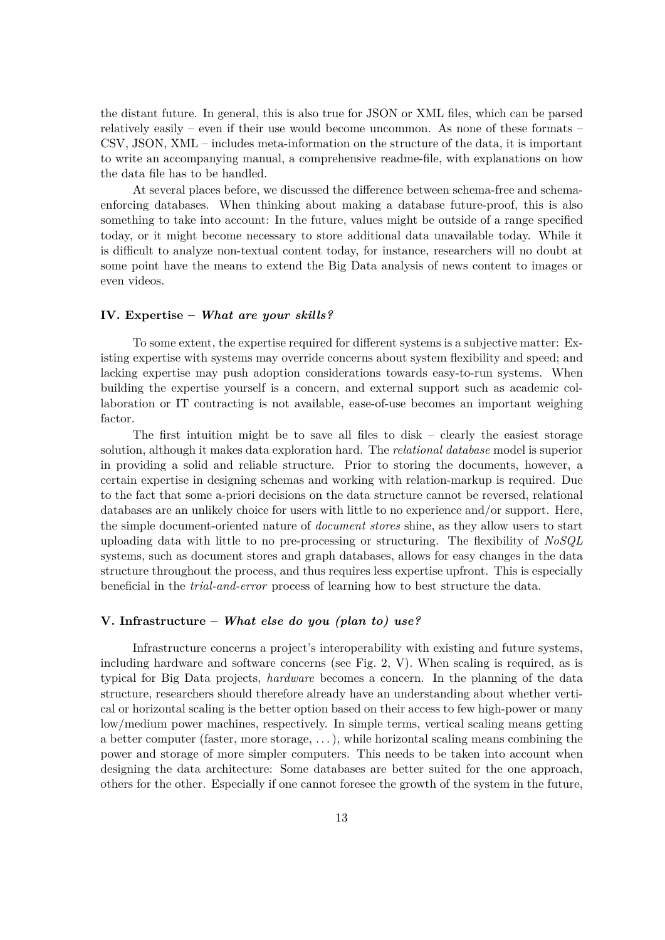the distant future. In general, this is also true for JSON or XML files, which can be parsed relatively easily – even if their use would become uncommon. As none of these formats – CSV, JSON, XML – includes meta-information on the structure of the data, it is important to write an accompanying manual, a comprehensive readme-file, with explanations on how the data file has to be handled.

At several places before, we discussed the difference between schema-free and schemaenforcing databases. When thinking about making a database future-proof, this is also something to take into account: In the future, values might be outside of a range specified today, or it might become necessary to store additional data unavailable today. While it is difficult to analyze non-textual content today, for instance, researchers will no doubt at some point have the means to extend the Big Data analysis of news content to images or even videos.

#### **IV. Expertise –** *What are your skills?*

To some extent, the expertise required for different systems is a subjective matter: Existing expertise with systems may override concerns about system flexibility and speed; and lacking expertise may push adoption considerations towards easy-to-run systems. When building the expertise yourself is a concern, and external support such as academic collaboration or IT contracting is not available, ease-of-use becomes an important weighing factor.

The first intuition might be to save all files to disk  $-$  clearly the easiest storage solution, although it makes data exploration hard. The *relational database* model is superior in providing a solid and reliable structure. Prior to storing the documents, however, a certain expertise in designing schemas and working with relation-markup is required. Due to the fact that some a-priori decisions on the data structure cannot be reversed, relational databases are an unlikely choice for users with little to no experience and/or support. Here, the simple document-oriented nature of *document stores* shine, as they allow users to start uploading data with little to no pre-processing or structuring. The flexibility of *NoSQL* systems, such as document stores and graph databases, allows for easy changes in the data structure throughout the process, and thus requires less expertise upfront. This is especially beneficial in the *trial-and-error* process of learning how to best structure the data.

#### **V. Infrastructure –** *What else do you (plan to) use?*

Infrastructure concerns a project's interoperability with existing and future systems, including hardware and software concerns (see Fig. 2, V). When scaling is required, as is typical for Big Data projects, *hardware* becomes a concern. In the planning of the data structure, researchers should therefore already have an understanding about whether vertical or horizontal scaling is the better option based on their access to few high-power or many low/medium power machines, respectively. In simple terms, vertical scaling means getting a better computer (faster, more storage, . . . ), while horizontal scaling means combining the power and storage of more simpler computers. This needs to be taken into account when designing the data architecture: Some databases are better suited for the one approach, others for the other. Especially if one cannot foresee the growth of the system in the future,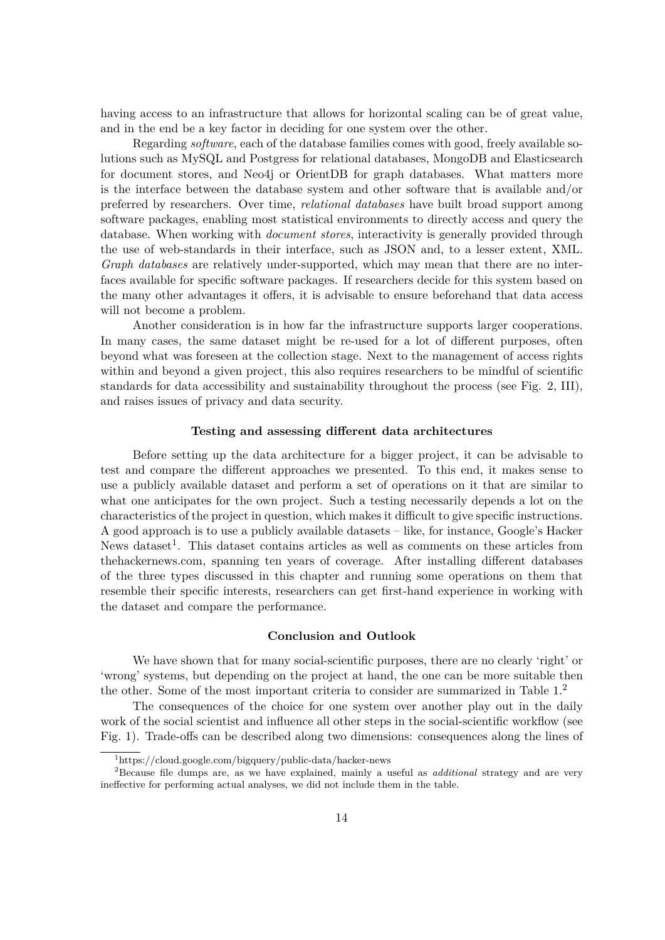having access to an infrastructure that allows for horizontal scaling can be of great value, and in the end be a key factor in deciding for one system over the other.

Regarding *software*, each of the database families comes with good, freely available solutions such as MySQL and Postgress for relational databases, MongoDB and Elasticsearch for document stores, and Neo4j or OrientDB for graph databases. What matters more is the interface between the database system and other software that is available and/or preferred by researchers. Over time, *relational databases* have built broad support among software packages, enabling most statistical environments to directly access and query the database. When working with *document stores*, interactivity is generally provided through the use of web-standards in their interface, such as JSON and, to a lesser extent, XML. *Graph databases* are relatively under-supported, which may mean that there are no interfaces available for specific software packages. If researchers decide for this system based on the many other advantages it offers, it is advisable to ensure beforehand that data access will not become a problem.

Another consideration is in how far the infrastructure supports larger cooperations. In many cases, the same dataset might be re-used for a lot of different purposes, often beyond what was foreseen at the collection stage. Next to the management of access rights within and beyond a given project, this also requires researchers to be mindful of scientific standards for data accessibility and sustainability throughout the process (see Fig. 2, III), and raises issues of privacy and data security.

#### **Testing and assessing different data architectures**

Before setting up the data architecture for a bigger project, it can be advisable to test and compare the different approaches we presented. To this end, it makes sense to use a publicly available dataset and perform a set of operations on it that are similar to what one anticipates for the own project. Such a testing necessarily depends a lot on the characteristics of the project in question, which makes it difficult to give specific instructions. A good approach is to use a publicly available datasets – like, for instance, Google's Hacker News dataset<sup>1</sup>. This dataset contains articles as well as comments on these articles from thehackernews.com, spanning ten years of coverage. After installing different databases of the three types discussed in this chapter and running some operations on them that resemble their specific interests, researchers can get first-hand experience in working with the dataset and compare the performance.

#### **Conclusion and Outlook**

We have shown that for many social-scientific purposes, there are no clearly 'right' or 'wrong' systems, but depending on the project at hand, the one can be more suitable then the other. Some of the most important criteria to consider are summarized in Table 1.<sup>2</sup>

The consequences of the choice for one system over another play out in the daily work of the social scientist and influence all other steps in the social-scientific workflow (see Fig. 1). Trade-offs can be described along two dimensions: consequences along the lines of

<sup>1</sup>https://cloud.google.com/bigquery/public-data/hacker-news

<sup>2</sup>Because file dumps are, as we have explained, mainly a useful as *additional* strategy and are very ineffective for performing actual analyses, we did not include them in the table.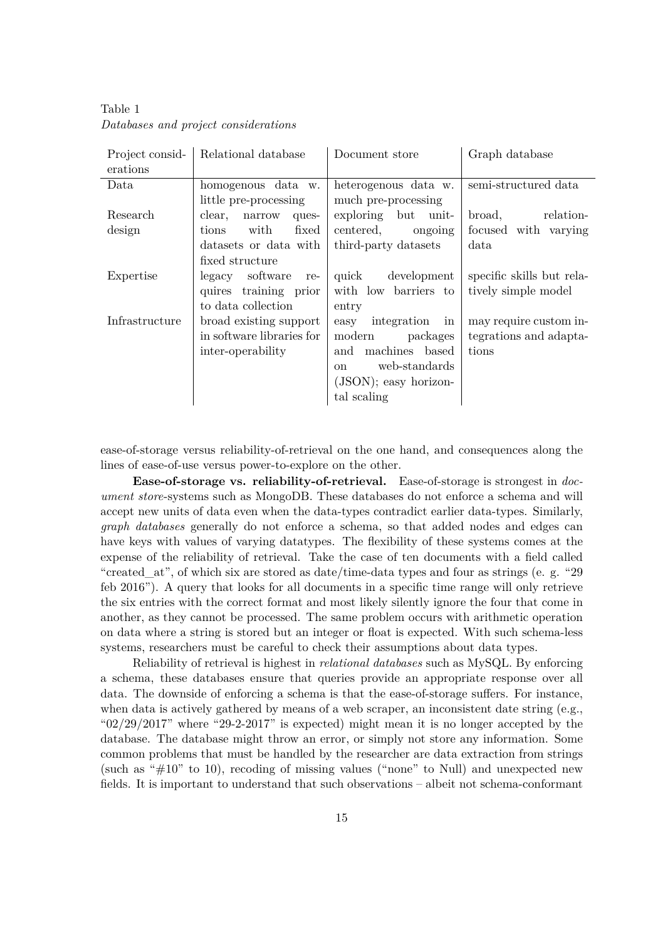| Relational database       | Document store                 | Graph database            |
|---------------------------|--------------------------------|---------------------------|
|                           |                                |                           |
| homogenous data w.        | heterogenous data w.           | semi-structured data      |
| little pre-processing     | much pre-processing            |                           |
| clear,<br>narrow<br>ques- | exploring but unit-            | relation-<br>broad,       |
| with<br>fixed<br>tions    | centered,<br>ongoing           | focused with varying      |
| datasets or data with     | third-party datasets           | data                      |
| fixed structure           |                                |                           |
| legacy software<br>re-    | quick<br>development           | specific skills but rela- |
| quires training prior     | with low barriers to           | tively simple model       |
| to data collection        | entry                          |                           |
| broad existing support    | integration in<br>easy         | may require custom in-    |
| in software libraries for | modern<br>packages             | tegrations and adapta-    |
| inter-operability         | machines based<br>and          | tions                     |
|                           | web-standards<br><sub>on</sub> |                           |
|                           | $(JSON)$ ; easy horizon-       |                           |
|                           | tal scaling                    |                           |
|                           |                                |                           |

Table 1 *Databases and project considerations*

ease-of-storage versus reliability-of-retrieval on the one hand, and consequences along the lines of ease-of-use versus power-to-explore on the other.

**Ease-of-storage vs. reliability-of-retrieval.** Ease-of-storage is strongest in *document store*-systems such as MongoDB. These databases do not enforce a schema and will accept new units of data even when the data-types contradict earlier data-types. Similarly, *graph databases* generally do not enforce a schema, so that added nodes and edges can have keys with values of varying datatypes. The flexibility of these systems comes at the expense of the reliability of retrieval. Take the case of ten documents with a field called "created at", of which six are stored as date/time-data types and four as strings (e. g. "29") feb 2016"). A query that looks for all documents in a specific time range will only retrieve the six entries with the correct format and most likely silently ignore the four that come in another, as they cannot be processed. The same problem occurs with arithmetic operation on data where a string is stored but an integer or float is expected. With such schema-less systems, researchers must be careful to check their assumptions about data types.

Reliability of retrieval is highest in *relational databases* such as MySQL. By enforcing a schema, these databases ensure that queries provide an appropriate response over all data. The downside of enforcing a schema is that the ease-of-storage suffers. For instance, when data is actively gathered by means of a web scraper, an inconsistent date string (e.g., " $02/29/2017$ " where "29-2-2017" is expected) might mean it is no longer accepted by the database. The database might throw an error, or simply not store any information. Some common problems that must be handled by the researcher are data extraction from strings (such as " $\#10$ " to 10), recoding of missing values ("none" to Null) and unexpected new fields. It is important to understand that such observations – albeit not schema-conformant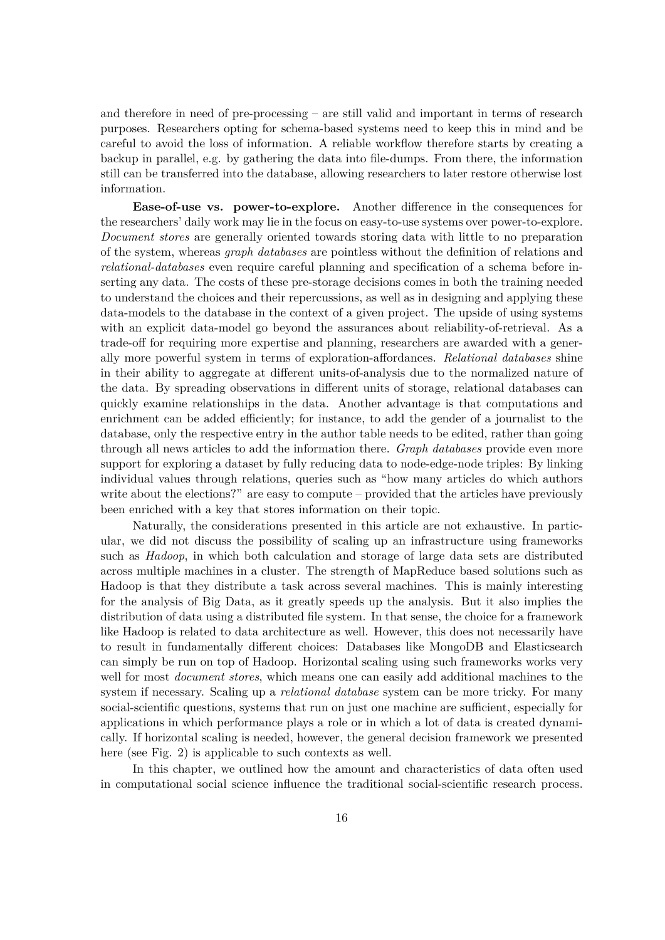and therefore in need of pre-processing – are still valid and important in terms of research purposes. Researchers opting for schema-based systems need to keep this in mind and be careful to avoid the loss of information. A reliable workflow therefore starts by creating a backup in parallel, e.g. by gathering the data into file-dumps. From there, the information still can be transferred into the database, allowing researchers to later restore otherwise lost information.

**Ease-of-use vs. power-to-explore.** Another difference in the consequences for the researchers' daily work may lie in the focus on easy-to-use systems over power-to-explore. *Document stores* are generally oriented towards storing data with little to no preparation of the system, whereas *graph databases* are pointless without the definition of relations and *relational-databases* even require careful planning and specification of a schema before inserting any data. The costs of these pre-storage decisions comes in both the training needed to understand the choices and their repercussions, as well as in designing and applying these data-models to the database in the context of a given project. The upside of using systems with an explicit data-model go beyond the assurances about reliability-of-retrieval. As a trade-off for requiring more expertise and planning, researchers are awarded with a generally more powerful system in terms of exploration-affordances. *Relational databases* shine in their ability to aggregate at different units-of-analysis due to the normalized nature of the data. By spreading observations in different units of storage, relational databases can quickly examine relationships in the data. Another advantage is that computations and enrichment can be added efficiently; for instance, to add the gender of a journalist to the database, only the respective entry in the author table needs to be edited, rather than going through all news articles to add the information there. *Graph databases* provide even more support for exploring a dataset by fully reducing data to node-edge-node triples: By linking individual values through relations, queries such as "how many articles do which authors write about the elections?" are easy to compute – provided that the articles have previously been enriched with a key that stores information on their topic.

Naturally, the considerations presented in this article are not exhaustive. In particular, we did not discuss the possibility of scaling up an infrastructure using frameworks such as *Hadoop*, in which both calculation and storage of large data sets are distributed across multiple machines in a cluster. The strength of MapReduce based solutions such as Hadoop is that they distribute a task across several machines. This is mainly interesting for the analysis of Big Data, as it greatly speeds up the analysis. But it also implies the distribution of data using a distributed file system. In that sense, the choice for a framework like Hadoop is related to data architecture as well. However, this does not necessarily have to result in fundamentally different choices: Databases like MongoDB and Elasticsearch can simply be run on top of Hadoop. Horizontal scaling using such frameworks works very well for most *document stores*, which means one can easily add additional machines to the system if necessary. Scaling up a *relational database* system can be more tricky. For many social-scientific questions, systems that run on just one machine are sufficient, especially for applications in which performance plays a role or in which a lot of data is created dynamically. If horizontal scaling is needed, however, the general decision framework we presented here (see Fig. 2) is applicable to such contexts as well.

In this chapter, we outlined how the amount and characteristics of data often used in computational social science influence the traditional social-scientific research process.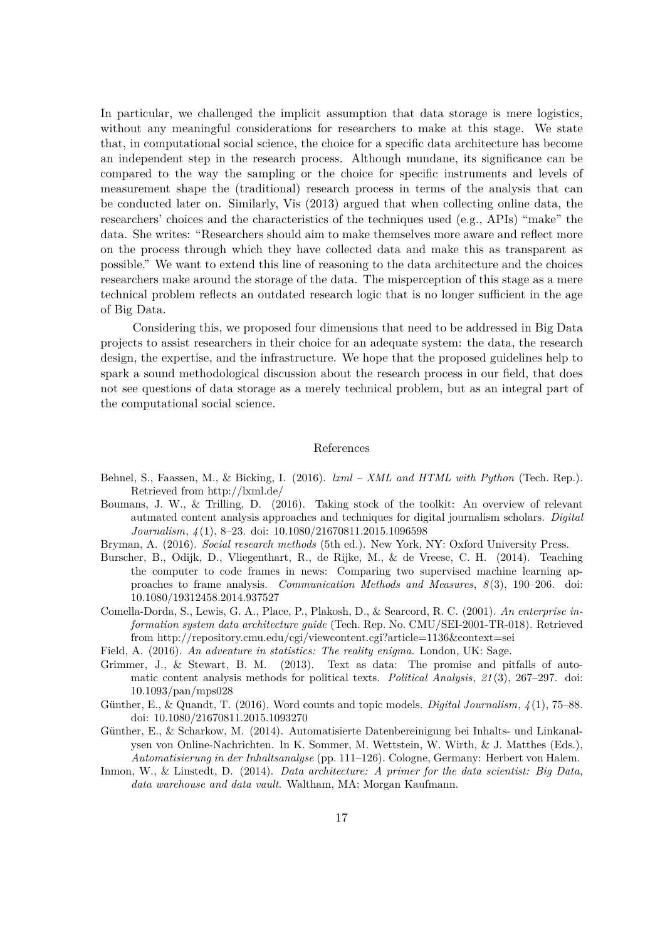In particular, we challenged the implicit assumption that data storage is mere logistics, without any meaningful considerations for researchers to make at this stage. We state that, in computational social science, the choice for a specific data architecture has become an independent step in the research process. Although mundane, its significance can be compared to the way the sampling or the choice for specific instruments and levels of measurement shape the (traditional) research process in terms of the analysis that can be conducted later on. Similarly, Vis (2013) argued that when collecting online data, the researchers' choices and the characteristics of the techniques used (e.g., APIs) "make" the data. She writes: "Researchers should aim to make themselves more aware and reflect more on the process through which they have collected data and make this as transparent as possible." We want to extend this line of reasoning to the data architecture and the choices researchers make around the storage of the data. The misperception of this stage as a mere technical problem reflects an outdated research logic that is no longer sufficient in the age of Big Data.

Considering this, we proposed four dimensions that need to be addressed in Big Data projects to assist researchers in their choice for an adequate system: the data, the research design, the expertise, and the infrastructure. We hope that the proposed guidelines help to spark a sound methodological discussion about the research process in our field, that does not see questions of data storage as a merely technical problem, but as an integral part of the computational social science.

#### References

- Behnel, S., Faassen, M., & Bicking, I. (2016). *lxml XML and HTML with Python* (Tech. Rep.). Retrieved from http://lxml.de/
- Boumans, J. W., & Trilling, D. (2016). Taking stock of the toolkit: An overview of relevant autmated content analysis approaches and techniques for digital journalism scholars. *Digital Journalism*, *4* (1), 8–23. doi: 10.1080/21670811.2015.1096598
- Bryman, A. (2016). *Social research methods* (5th ed.). New York, NY: Oxford University Press.
- Burscher, B., Odijk, D., Vliegenthart, R., de Rijke, M., & de Vreese, C. H. (2014). Teaching the computer to code frames in news: Comparing two supervised machine learning approaches to frame analysis. *Communication Methods and Measures*, *8* (3), 190–206. doi: 10.1080/19312458.2014.937527
- Comella-Dorda, S., Lewis, G. A., Place, P., Plakosh, D., & Searcord, R. C. (2001). *An enterprise information system data architecture guide* (Tech. Rep. No. CMU/SEI-2001-TR-018). Retrieved from http://repository.cmu.edu/cgi/viewcontent.cgi?article=1136&context=sei
- Field, A. (2016). *An adventure in statistics: The reality enigma*. London, UK: Sage.
- Grimmer, J., & Stewart, B. M. (2013). Text as data: The promise and pitfalls of automatic content analysis methods for political texts. *Political Analysis*, *21* (3), 267–297. doi: 10.1093/pan/mps028
- Günther, E., & Quandt, T. (2016). Word counts and topic models. *Digital Journalism*, *4* (1), 75–88. doi: 10.1080/21670811.2015.1093270
- Günther, E., & Scharkow, M. (2014). Automatisierte Datenbereinigung bei Inhalts- und Linkanalysen von Online-Nachrichten. In K. Sommer, M. Wettstein, W. Wirth, & J. Matthes (Eds.), *Automatisierung in der Inhaltsanalyse* (pp. 111–126). Cologne, Germany: Herbert von Halem.
- Inmon, W., & Linstedt, D. (2014). *Data architecture: A primer for the data scientist: Big Data, data warehouse and data vault*. Waltham, MA: Morgan Kaufmann.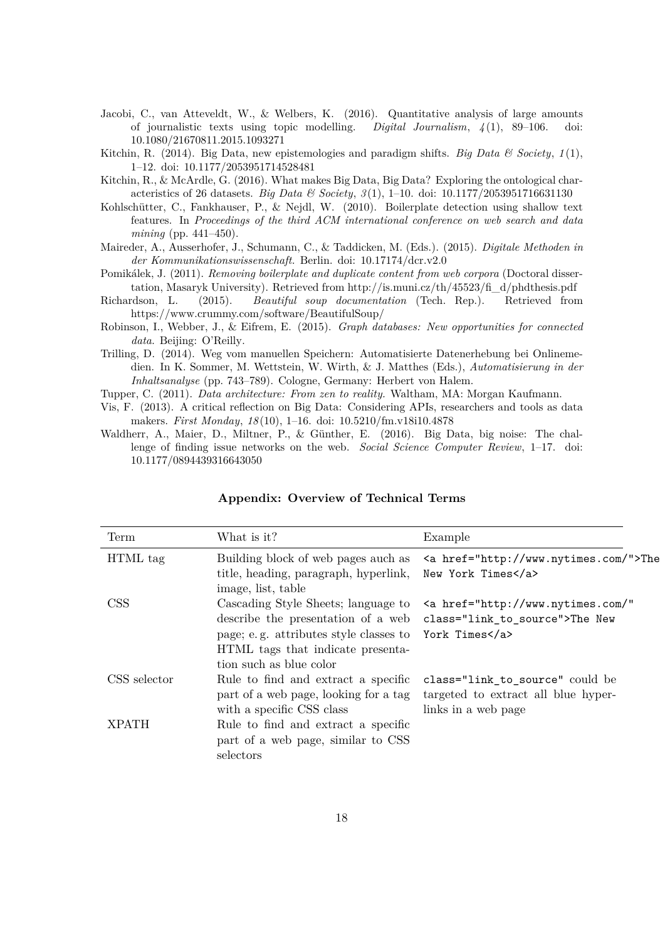- Jacobi, C., van Atteveldt, W., & Welbers, K. (2016). Quantitative analysis of large amounts of journalistic texts using topic modelling. *Digital Journalism*, *4* (1), 89–106. doi: 10.1080/21670811.2015.1093271
- Kitchin, R. (2014). Big Data, new epistemologies and paradigm shifts. *Big Data & Society*, *1* (1), 1–12. doi: 10.1177/2053951714528481
- Kitchin, R., & McArdle, G. (2016). What makes Big Data, Big Data? Exploring the ontological characteristics of 26 datasets. *Big Data & Society*, *3* (1), 1–10. doi: 10.1177/2053951716631130
- Kohlschütter, C., Fankhauser, P., & Nejdl, W. (2010). Boilerplate detection using shallow text features. In *Proceedings of the third ACM international conference on web search and data mining* (pp. 441–450).
- Maireder, A., Ausserhofer, J., Schumann, C., & Taddicken, M. (Eds.). (2015). *Digitale Methoden in der Kommunikationswissenschaft.* Berlin. doi: 10.17174/dcr.v2.0
- Pomikálek, J. (2011). *Removing boilerplate and duplicate content from web corpora* (Doctoral dissertation, Masaryk University). Retrieved from http://is.muni.cz/th/45523/fi\_d/phdthesis.pdf
- Richardson, L. (2015). *Beautiful soup documentation* (Tech. Rep.). Retrieved from https://www.crummy.com/software/BeautifulSoup/
- Robinson, I., Webber, J., & Eifrem, E. (2015). *Graph databases: New opportunities for connected data*. Beijing: O'Reilly.
- Trilling, D. (2014). Weg vom manuellen Speichern: Automatisierte Datenerhebung bei Onlinemedien. In K. Sommer, M. Wettstein, W. Wirth, & J. Matthes (Eds.), *Automatisierung in der Inhaltsanalyse* (pp. 743–789). Cologne, Germany: Herbert von Halem.
- Tupper, C. (2011). *Data architecture: From zen to reality.* Waltham, MA: Morgan Kaufmann.
- Vis, F. (2013). A critical reflection on Big Data: Considering APIs, researchers and tools as data makers. *First Monday*, *18* (10), 1–16. doi: 10.5210/fm.v18i10.4878
- Waldherr, A., Maier, D., Miltner, P., & Günther, E. (2016). Big Data, big noise: The challenge of finding issue networks on the web. *Social Science Computer Review*, 1–17. doi: 10.1177/0894439316643050

| Term         | What is it?                                                                                                                                                                                    | Example                                                                                       |
|--------------|------------------------------------------------------------------------------------------------------------------------------------------------------------------------------------------------|-----------------------------------------------------------------------------------------------|
| HTML tag     | Building block of web pages auch as<br>title, heading, paragraph, hyperlink,<br>image, list, table                                                                                             | <a href="http://www.nytimes.com/">The<br/>New York Times</a>                                  |
| <b>CSS</b>   | Cascading Style Sheets; language to<br>describe the presentation of a web<br>page; e.g. attributes style classes to York Times<br>HTML tags that indicate presenta-<br>tion such as blue color | <a <br="" href="http://www.nytimes.com/">class="link_to_source"&gt;The New</a>                |
| CSS selector | Rule to find and extract a specific<br>part of a web page, looking for a tag<br>with a specific CSS class                                                                                      | class="link_to_source" could be<br>targeted to extract all blue hyper-<br>links in a web page |
| <b>XPATH</b> | Rule to find and extract a specific<br>part of a web page, similar to CSS<br>selectors                                                                                                         |                                                                                               |

#### **Appendix: Overview of Technical Terms**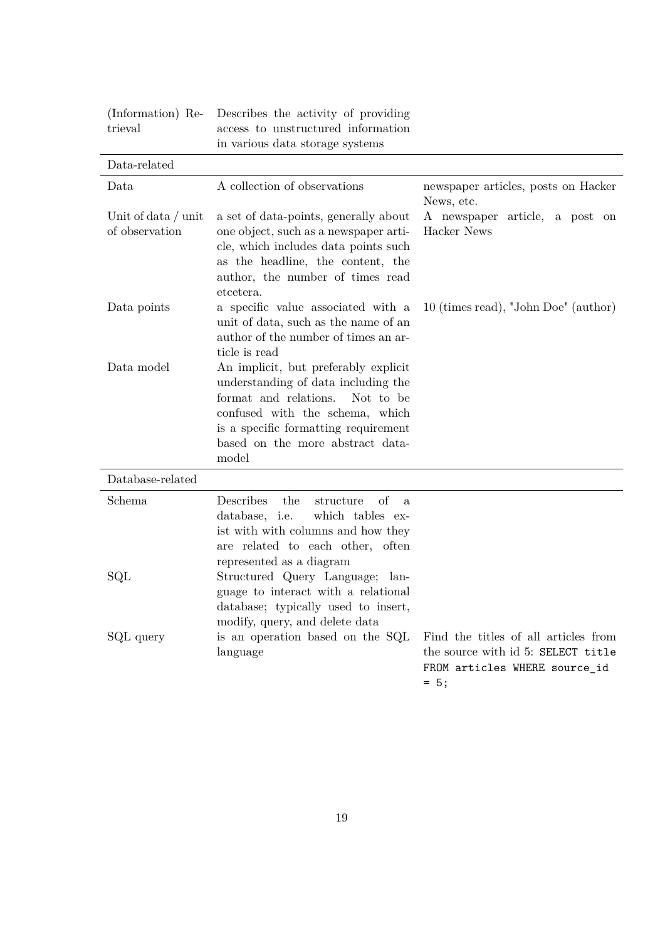| (Information) Re-<br>trieval            | Describes the activity of providing<br>access to unstructured information<br>in various data storage systems                                                                                                                              |                                                                                                                       |
|-----------------------------------------|-------------------------------------------------------------------------------------------------------------------------------------------------------------------------------------------------------------------------------------------|-----------------------------------------------------------------------------------------------------------------------|
| Data-related                            |                                                                                                                                                                                                                                           |                                                                                                                       |
| Data                                    | A collection of observations                                                                                                                                                                                                              | newspaper articles, posts on Hacker<br>News, etc.                                                                     |
| Unit of data $/$ unit<br>of observation | a set of data-points, generally about<br>one object, such as a newspaper arti-<br>cle, which includes data points such<br>as the headline, the content, the<br>author, the number of times read<br>etcetera.                              | A newspaper article, a post on<br>Hacker News                                                                         |
| Data points                             | a specific value associated with a<br>unit of data, such as the name of an<br>author of the number of times an ar-<br>ticle is read                                                                                                       | 10 (times read), "John Doe" (author)                                                                                  |
| Data model                              | An implicit, but preferably explicit<br>understanding of data including the<br>format and relations.<br>Not to be<br>confused with the schema, which<br>is a specific formatting requirement<br>based on the more abstract data-<br>model |                                                                                                                       |
| Database-related                        |                                                                                                                                                                                                                                           |                                                                                                                       |
| Schema                                  | Describes<br>the<br>οf<br>structure<br>$\mathbf{a}$<br>database, i.e.<br>which tables ex-<br>ist with with columns and how they<br>are related to each other, often<br>represented as a diagram                                           |                                                                                                                       |
| SQL                                     | Structured Query Language; lan-<br>guage to interact with a relational<br>database; typically used to insert,<br>modify, query, and delete data                                                                                           |                                                                                                                       |
| SQL query                               | is an operation based on the SQL<br>language                                                                                                                                                                                              | Find the titles of all articles from<br>the source with id 5: SELECT title<br>FROM articles WHERE source_id<br>$= 5;$ |